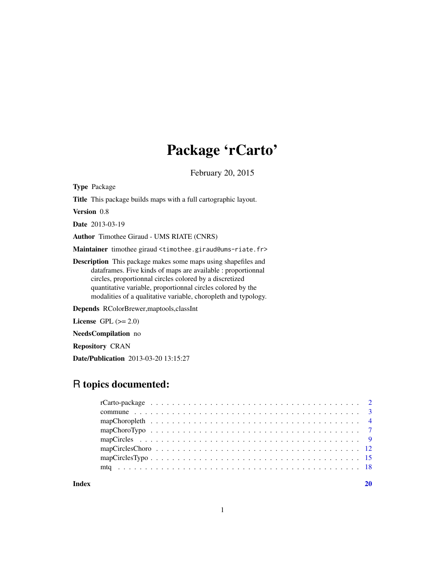# Package 'rCarto'

February 20, 2015

<span id="page-0-0"></span>Type Package

Title This package builds maps with a full cartographic layout.

Version 0.8

Date 2013-03-19

Author Timothee Giraud - UMS RIATE (CNRS)

Maintainer timothee giraud <timothee.giraud@ums-riate.fr>

Description This package makes some maps using shapefiles and dataframes. Five kinds of maps are available : proportionnal circles, proportionnal circles colored by a discretized quantitative variable, proportionnal circles colored by the modalities of a qualitative variable, choropleth and typology.

Depends RColorBrewer,maptools,classInt

License GPL  $(>= 2.0)$ 

NeedsCompilation no

Repository CRAN

Date/Publication 2013-03-20 13:15:27

# R topics documented:

 $\bf 1$ ndex  $\bf 20$  $\bf 20$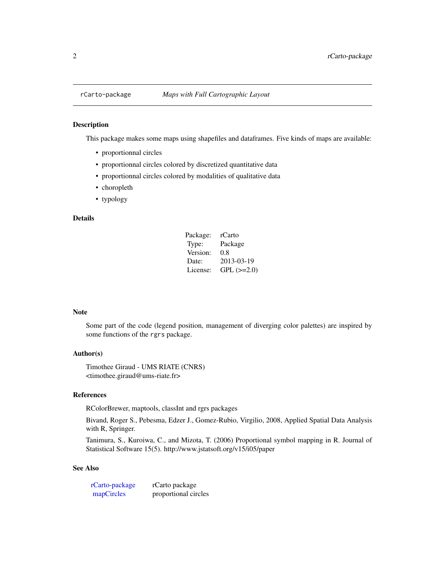<span id="page-1-1"></span><span id="page-1-0"></span>

#### Description

This package makes some maps using shapefiles and dataframes. Five kinds of maps are available:

- proportionnal circles
- proportionnal circles colored by discretized quantitative data
- proportionnal circles colored by modalities of qualitative data
- choropleth
- typology

#### Details

| Package: | rCarto            |
|----------|-------------------|
| Type:    | Package           |
| Version: | 0.8               |
| Date:    | 2013-03-19        |
| License: | $GPL$ ( $>=2.0$ ) |

## Note

Some part of the code (legend position, management of diverging color palettes) are inspired by some functions of the rgrs package.

#### Author(s)

Timothee Giraud - UMS RIATE (CNRS) <timothee.giraud@ums-riate.fr>

#### References

RColorBrewer, maptools, classInt and rgrs packages

Bivand, Roger S., Pebesma, Edzer J., Gomez-Rubio, Virgilio, 2008, Applied Spatial Data Analysis with R, Springer.

Tanimura, S., Kuroiwa, C., and Mizota, T. (2006) Proportional symbol mapping in R. Journal of Statistical Software 15(5). http://www.jstatsoft.org/v15/i05/paper

| rCarto-package | rCarto package       |
|----------------|----------------------|
| mapCircles     | proportional circles |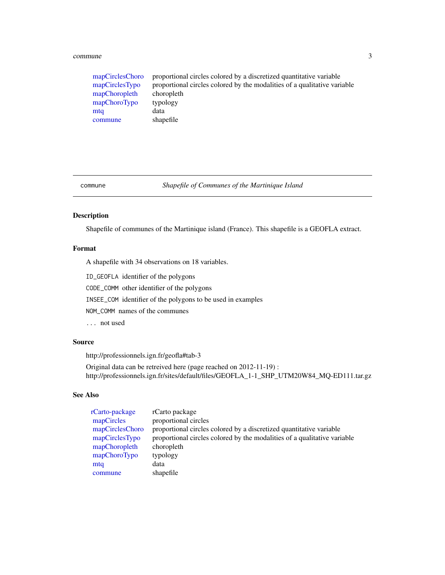#### <span id="page-2-0"></span>commune 3

| mapCirclesChoro | proportional circles colored by a discretized quantitative variable      |
|-----------------|--------------------------------------------------------------------------|
| mapCirclesTypo  | proportional circles colored by the modalities of a qualitative variable |
| mapChoropleth   | choropleth                                                               |
| mapChoroTypo    | typology                                                                 |
| mta             | data                                                                     |
| commune         | shapefile                                                                |
|                 |                                                                          |

<span id="page-2-1"></span>commune *Shapefile of Communes of the Martinique Island*

### Description

Shapefile of communes of the Martinique island (France). This shapefile is a GEOFLA extract.

#### Format

A shapefile with 34 observations on 18 variables.

ID\_GEOFLA identifier of the polygons

CODE\_COMM other identifier of the polygons

INSEE\_COM identifier of the polygons to be used in examples

NOM\_COMM names of the communes

... not used

#### Source

http://professionnels.ign.fr/geofla#tab-3

Original data can be retreived here (page reached on 2012-11-19) : http://professionnels.ign.fr/sites/default/files/GEOFLA\_1-1\_SHP\_UTM20W84\_MQ-ED111.tar.gz

| rCarto-package  | rCarto package                                                           |
|-----------------|--------------------------------------------------------------------------|
| mapCircles      | proportional circles                                                     |
| mapCirclesChoro | proportional circles colored by a discretized quantitative variable      |
| mapCirclesTypo  | proportional circles colored by the modalities of a qualitative variable |
| mapChoropleth   | choropleth                                                               |
| mapChoroTypo    | typology                                                                 |
| mtq             | data                                                                     |
| commune         | shapefile                                                                |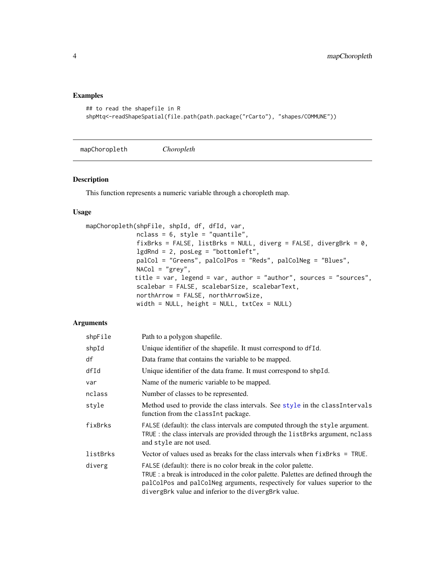### <span id="page-3-0"></span>Examples

```
## to read the shapefile in R
shpMtq<-readShapeSpatial(file.path(path.package("rCarto"), "shapes/COMMUNE"))
```
<span id="page-3-1"></span>mapChoropleth *Choropleth*

#### Description

This function represents a numeric variable through a choropleth map.

#### Usage

```
mapChoropleth(shpFile, shpId, df, dfId, var,
              nclass = 6, style = "quantile",
              fixBrks = FALSE, listBrks = NULL, diverg = FALSE, divergBrk = 0,
              lgdRnd = 2, posLeg = "bottomleft",
              palCol = "Greens", palColPos = "Reds", palColNeg = "Blues",
              NACol = "grey",
             title = var, legend = var, author = "author", sources = "sources",
              scalebar = FALSE, scalebarSize, scalebarText,
              northArrow = FALSE, northArrowSize,
              width = NULL, height = NULL, txtCex = NULL)
```

| shpFile  | Path to a polygon shapefile.                                                                                                                                                                                                                                                                |
|----------|---------------------------------------------------------------------------------------------------------------------------------------------------------------------------------------------------------------------------------------------------------------------------------------------|
| shpId    | Unique identifier of the shapefile. It must correspond to df Id.                                                                                                                                                                                                                            |
| df       | Data frame that contains the variable to be mapped.                                                                                                                                                                                                                                         |
| dfId     | Unique identifier of the data frame. It must correspond to shpId.                                                                                                                                                                                                                           |
| var      | Name of the numeric variable to be mapped.                                                                                                                                                                                                                                                  |
| nclass   | Number of classes to be represented.                                                                                                                                                                                                                                                        |
| style    | Method used to provide the class intervals. See style in the class Intervals<br>function from the class Int package.                                                                                                                                                                        |
| fixBrks  | FALSE (default): the class intervals are computed through the style argument.<br>TRUE : the class intervals are provided through the listBrks argument, nclass<br>and style are not used.                                                                                                   |
| listBrks | Vector of values used as breaks for the class intervals when $fixBr$ ks = TRUE.                                                                                                                                                                                                             |
| diverg   | FALSE (default): there is no color break in the color palette.<br>TRUE : a break is introduced in the color palette. Palettes are defined through the<br>palColPos and palColNeg arguments, respectively for values superior to the<br>divergBrk value and inferior to the divergBrk value. |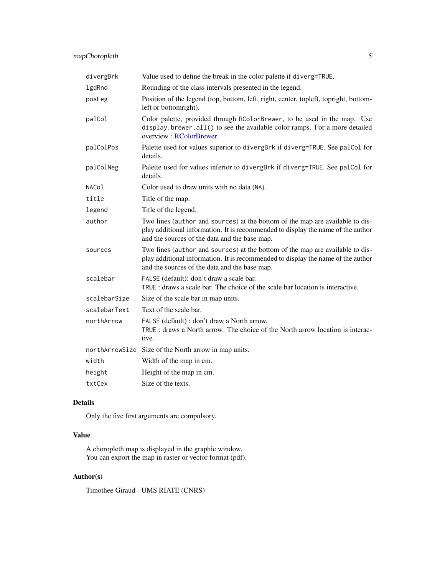<span id="page-4-0"></span>

| divergBrk    | Value used to define the break in the color palette if diverg=TRUE.                                                                                                                                                |
|--------------|--------------------------------------------------------------------------------------------------------------------------------------------------------------------------------------------------------------------|
| lgdRnd       | Rounding of the class intervals presented in the legend.                                                                                                                                                           |
| posLeg       | Position of the legend (top, bottom, left, right, center, topleft, topright, bottom-<br>left or bottomright).                                                                                                      |
| palCol       | Color palette, provided through RColorBrewer, to be used in the map. Use<br>display.brewer.all() to see the available color ramps. For a more detailed<br>overview: RColorBrewer.                                  |
| palColPos    | Palette used for values superior to divergBrk if diverg=TRUE. See palCol for<br>details.                                                                                                                           |
| palColNeg    | Palette used for values inferior to divergBrk if diverg=TRUE. See palCol for<br>details.                                                                                                                           |
| NACol        | Color used to draw units with no data (NA).                                                                                                                                                                        |
| title        | Title of the map.                                                                                                                                                                                                  |
| legend       | Title of the legend.                                                                                                                                                                                               |
| author       | Two lines (author and sources) at the bottom of the map are available to dis-<br>play additional information. It is recommended to display the name of the author<br>and the sources of the data and the base map. |
| sources      | Two lines (author and sources) at the bottom of the map are available to dis-<br>play additional information. It is recommended to display the name of the author<br>and the sources of the data and the base map. |
| scalebar     | FALSE (default): don't draw a scale bar.<br>TRUE : draws a scale bar. The choice of the scale bar location is interactive.                                                                                         |
| scalebarSize | Size of the scale bar in map units.                                                                                                                                                                                |
| scalebarText | Text of the scale bar.                                                                                                                                                                                             |
| northArrow   | FALSE (default) : don't draw a North arrow.<br>TRUE: draws a North arrow. The choice of the North arrow location is interac-<br>tive.                                                                              |
|              | northArrowSize Size of the North arrow in map units.                                                                                                                                                               |
| width        | Width of the map in cm.                                                                                                                                                                                            |
| height       | Height of the map in cm.                                                                                                                                                                                           |
| txtCex       | Size of the texts.                                                                                                                                                                                                 |

#### Details

Only the five first arguments are compulsory.

# Value

A choropleth map is displayed in the graphic window. You can export the map in raster or vector format (pdf).

# Author(s)

Timothee Giraud - UMS RIATE (CNRS)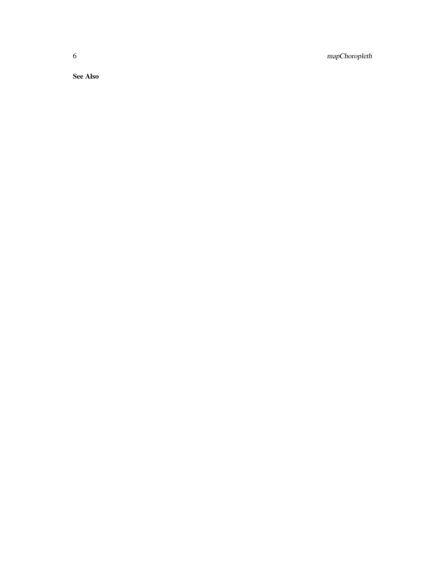6 mapChoropleth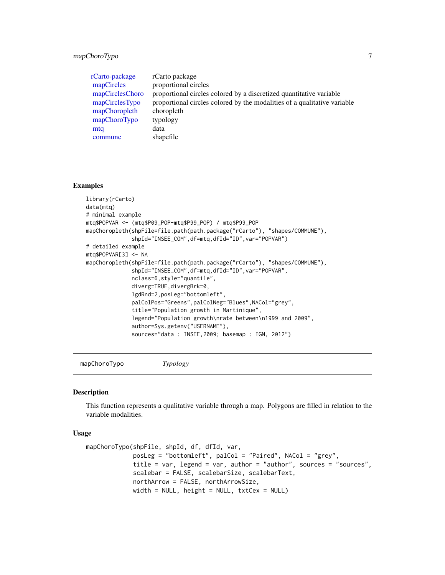# <span id="page-6-0"></span>mapChoroTypo 7

| rCarto-package<br>mapCircles<br>mapCirclesChoro<br>mapCirclesTypo<br>mapChoropleth<br>mapChoroTypo<br>mtq<br>commune | rCarto package<br>proportional circles<br>proportional circles colored by a discretized quantitative variable<br>proportional circles colored by the modalities of a qualitative variable<br>choropleth<br>typology<br>data<br>shapefile                                                                                                                                                                                                                                                                                                                                                                                                                                                  |
|----------------------------------------------------------------------------------------------------------------------|-------------------------------------------------------------------------------------------------------------------------------------------------------------------------------------------------------------------------------------------------------------------------------------------------------------------------------------------------------------------------------------------------------------------------------------------------------------------------------------------------------------------------------------------------------------------------------------------------------------------------------------------------------------------------------------------|
| <b>Examples</b>                                                                                                      |                                                                                                                                                                                                                                                                                                                                                                                                                                                                                                                                                                                                                                                                                           |
| library(rCarto)<br>data(mtq)<br># minimal example<br># detailed example<br>mtq\$POPVAR[3] <- NA                      | mtg\$POPVAR <- (mtg\$P09_POP-mtg\$P99_POP) / mtg\$P99_POP<br>mapChoropleth(shpFile=file.path(path.package("rCarto"), "shapes/COMMUNE"),<br>shpId="INSEE_COM", df=mtq, dfId="ID", var="POPVAR")<br>mapChoropleth(shpFile=file.path(path.package("rCarto"), "shapes/COMMUNE"),<br>shpId="INSEE_COM", df=mtq, dfId="ID", var="POPVAR",<br>nclass=6, style="quantile",<br>diverg=TRUE, divergBrk=0,<br>lgdRnd=2, posLeg="bottomleft",<br>palColPos="Greens", palColNeg="Blues", NACol="grey",<br>title="Population growth in Martinique",<br>legend="Population growth\nrate between\n1999 and 2009",<br>author=Sys.getenv("USERNAME"),<br>sources="data : INSEE, 2009; basemap : IGN, 2012") |

<span id="page-6-1"></span>mapChoroTypo *Typology*

# Description

This function represents a qualitative variable through a map. Polygons are filled in relation to the variable modalities.

# Usage

```
mapChoroTypo(shpFile, shpId, df, dfId, var,
            posLeg = "bottomleft", palCol = "Paired", NACol = "grey",
             title = var, legend = var, author = "author", sources = "sources",
             scalebar = FALSE, scalebarSize, scalebarText,
             northArrow = FALSE, northArrowSize,
             width = NULL, height = NULL, txtCex = NULL)
```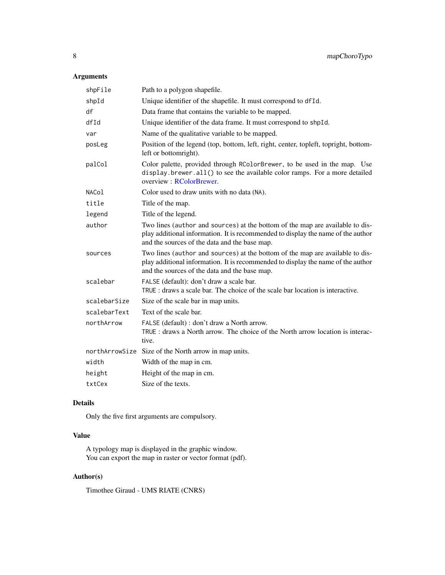# <span id="page-7-0"></span>Arguments

| shpFile      | Path to a polygon shapefile.                                                                                                                                                                                       |
|--------------|--------------------------------------------------------------------------------------------------------------------------------------------------------------------------------------------------------------------|
| shpId        | Unique identifier of the shapefile. It must correspond to dfId.                                                                                                                                                    |
| df           | Data frame that contains the variable to be mapped.                                                                                                                                                                |
| dfId         | Unique identifier of the data frame. It must correspond to shpId.                                                                                                                                                  |
| var          | Name of the qualitative variable to be mapped.                                                                                                                                                                     |
| posLeg       | Position of the legend (top, bottom, left, right, center, topleft, topright, bottom-<br>left or bottomright).                                                                                                      |
| palCol       | Color palette, provided through RColorBrewer, to be used in the map. Use<br>display.brewer.all() to see the available color ramps. For a more detailed<br>overview: RColorBrewer.                                  |
| NACol        | Color used to draw units with no data (NA).                                                                                                                                                                        |
| title        | Title of the map.                                                                                                                                                                                                  |
| legend       | Title of the legend.                                                                                                                                                                                               |
| author       | Two lines (author and sources) at the bottom of the map are available to dis-<br>play additional information. It is recommended to display the name of the author<br>and the sources of the data and the base map. |
| sources      | Two lines (author and sources) at the bottom of the map are available to dis-<br>play additional information. It is recommended to display the name of the author<br>and the sources of the data and the base map. |
| scalebar     | FALSE (default): don't draw a scale bar.<br>TRUE : draws a scale bar. The choice of the scale bar location is interactive.                                                                                         |
| scalebarSize | Size of the scale bar in map units.                                                                                                                                                                                |
| scalebarText | Text of the scale bar.                                                                                                                                                                                             |
| northArrow   | FALSE (default) : don't draw a North arrow.<br>TRUE: draws a North arrow. The choice of the North arrow location is interac-<br>tive.                                                                              |
|              | northArrowSize Size of the North arrow in map units.                                                                                                                                                               |
| width        | Width of the map in cm.                                                                                                                                                                                            |
| height       | Height of the map in cm.                                                                                                                                                                                           |
| txtCex       | Size of the texts.                                                                                                                                                                                                 |

#### Details

Only the five first arguments are compulsory.

# Value

A typology map is displayed in the graphic window. You can export the map in raster or vector format (pdf).

# Author(s)

Timothee Giraud - UMS RIATE (CNRS)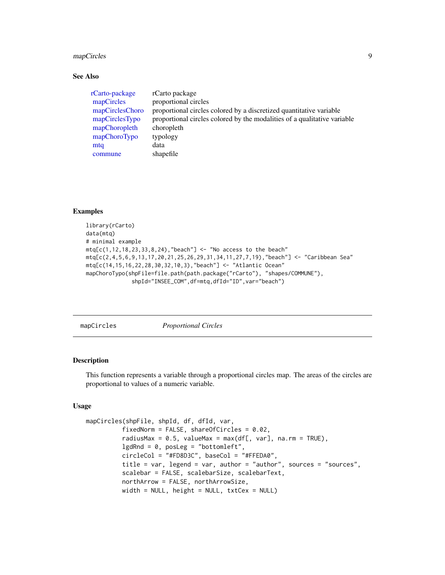#### <span id="page-8-0"></span>mapCircles 9

#### See Also

| rCarto-package  | rCarto package                                                           |
|-----------------|--------------------------------------------------------------------------|
| mapCircles      | proportional circles                                                     |
| mapCirclesChoro | proportional circles colored by a discretized quantitative variable      |
| mapCirclesTypo  | proportional circles colored by the modalities of a qualitative variable |
| mapChoropleth   | choropleth                                                               |
| mapChoroTypo    | typology                                                                 |
| mtq             | data                                                                     |
| commune         | shapefile                                                                |

# Examples

```
library(rCarto)
data(mtq)
# minimal example
mtr[ c(1, 12, 18, 23, 33, 8, 24), "beach"] <- "No access to the beach"
mtq[c(2,4,5,6,9,13,17,20,21,25,26,29,31,34,11,27,7,19),"beach"] <- "Caribbean Sea"
mtq[c(14,15,16,22,28,30,32,10,3),"beach"] <- "Atlantic Ocean"
mapChoroTypo(shpFile=file.path(path.package("rCarto"), "shapes/COMMUNE"),
              shpId="INSEE_COM",df=mtq,dfId="ID",var="beach")
```
<span id="page-8-1"></span>

mapCircles *Proportional Circles*

#### Description

This function represents a variable through a proportional circles map. The areas of the circles are proportional to values of a numeric variable.

#### Usage

```
mapCircles(shpFile, shpId, df, dfId, var,
          fixedNorm = FALSE, shareOfCircles = 0.02,
          radiusMax = 0.5, valueMax = max(df[, var], na.rm = TRUE),
          lgdRnd = 0, posLeg = "bottomleft",
          circleCol = "#FD8D3C", baseCol = "#FFEDA0",
          title = var, legend = var, author = "author", sources = "sources",
          scalebar = FALSE, scalebarSize, scalebarText,
          northArrow = FALSE, northArrowSize,
          width = NULL, height = NULL, txtCex = NULL)
```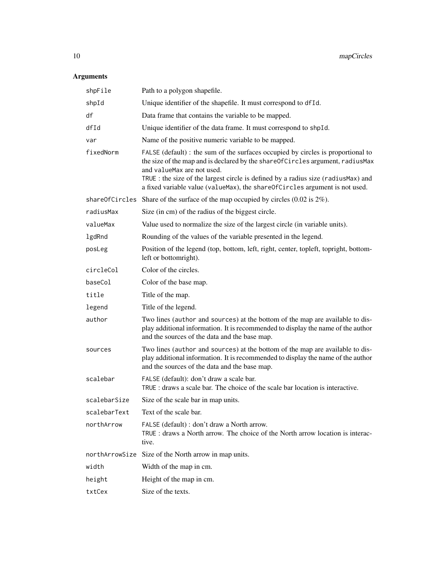| shpFile        | Path to a polygon shapefile.                                                                                                                                                                                                                                                                                                                                        |
|----------------|---------------------------------------------------------------------------------------------------------------------------------------------------------------------------------------------------------------------------------------------------------------------------------------------------------------------------------------------------------------------|
| shpId          | Unique identifier of the shapefile. It must correspond to df Id.                                                                                                                                                                                                                                                                                                    |
| df             | Data frame that contains the variable to be mapped.                                                                                                                                                                                                                                                                                                                 |
| dfId           | Unique identifier of the data frame. It must correspond to shpId.                                                                                                                                                                                                                                                                                                   |
| var            | Name of the positive numeric variable to be mapped.                                                                                                                                                                                                                                                                                                                 |
| fixedNorm      | FALSE (default) : the sum of the surfaces occupied by circles is proportional to<br>the size of the map and is declared by the shareOfCircles argument, radiusMax<br>and valueMax are not used.<br>TRUE : the size of the largest circle is defined by a radius size (radiusMax) and<br>a fixed variable value (valueMax), the shareOfCircles argument is not used. |
|                | shareOfCircles Share of the surface of the map occupied by circles $(0.02 \text{ is } 2\%)$ .                                                                                                                                                                                                                                                                       |
| radiusMax      | Size (in cm) of the radius of the biggest circle.                                                                                                                                                                                                                                                                                                                   |
| valueMax       | Value used to normalize the size of the largest circle (in variable units).                                                                                                                                                                                                                                                                                         |
| lgdRnd         | Rounding of the values of the variable presented in the legend.                                                                                                                                                                                                                                                                                                     |
| posLeg         | Position of the legend (top, bottom, left, right, center, topleft, topright, bottom-<br>left or bottomright).                                                                                                                                                                                                                                                       |
| circleCol      | Color of the circles.                                                                                                                                                                                                                                                                                                                                               |
| baseCol        | Color of the base map.                                                                                                                                                                                                                                                                                                                                              |
| title          | Title of the map.                                                                                                                                                                                                                                                                                                                                                   |
| legend         | Title of the legend.                                                                                                                                                                                                                                                                                                                                                |
| author         | Two lines (author and sources) at the bottom of the map are available to dis-<br>play additional information. It is recommended to display the name of the author<br>and the sources of the data and the base map.                                                                                                                                                  |
| sources        | Two lines (author and sources) at the bottom of the map are available to dis-<br>play additional information. It is recommended to display the name of the author<br>and the sources of the data and the base map.                                                                                                                                                  |
| scalebar       | FALSE (default): don't draw a scale bar.<br>TRUE : draws a scale bar. The choice of the scale bar location is interactive.                                                                                                                                                                                                                                          |
| scalebarSize   | Size of the scale bar in map units.                                                                                                                                                                                                                                                                                                                                 |
| scalebarText   | Text of the scale bar.                                                                                                                                                                                                                                                                                                                                              |
| northArrow     | FALSE (default) : don't draw a North arrow.<br>TRUE: draws a North arrow. The choice of the North arrow location is interac-<br>tive.                                                                                                                                                                                                                               |
| northArrowSize | Size of the North arrow in map units.                                                                                                                                                                                                                                                                                                                               |
| width          | Width of the map in cm.                                                                                                                                                                                                                                                                                                                                             |
| height         | Height of the map in cm.                                                                                                                                                                                                                                                                                                                                            |
| txtCex         | Size of the texts.                                                                                                                                                                                                                                                                                                                                                  |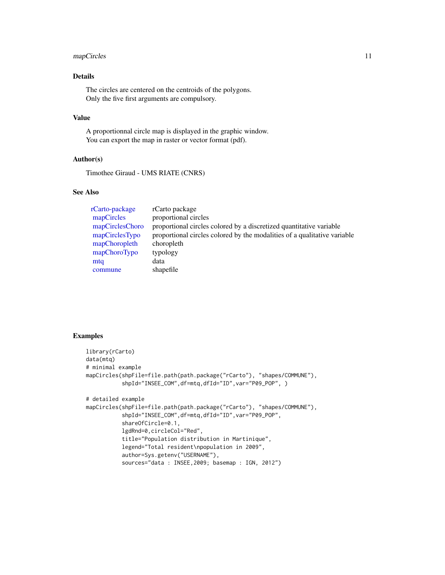### <span id="page-10-0"></span>mapCircles 11

# Details

The circles are centered on the centroids of the polygons. Only the five first arguments are compulsory.

#### Value

A proportionnal circle map is displayed in the graphic window. You can export the map in raster or vector format (pdf).

# Author(s)

Timothee Giraud - UMS RIATE (CNRS)

# See Also

| rCarto-package  | rCarto package                                                           |
|-----------------|--------------------------------------------------------------------------|
| mapCircles      | proportional circles                                                     |
| mapCirclesChoro | proportional circles colored by a discretized quantitative variable      |
| mapCirclesTypo  | proportional circles colored by the modalities of a qualitative variable |
| mapChoropleth   | choropleth                                                               |
| mapChoroTypo    | typology                                                                 |
| mtq             | data                                                                     |
| commune         | shapefile                                                                |

#### Examples

```
library(rCarto)
data(mtq)
# minimal example
mapCircles(shpFile=file.path(path.package("rCarto"), "shapes/COMMUNE"),
           shpId="INSEE_COM",df=mtq,dfId="ID",var="P09_POP", )
# detailed example
mapCircles(shpFile=file.path(path.package("rCarto"), "shapes/COMMUNE"),
           shpId="INSEE_COM",df=mtq,dfId="ID",var="P09_POP",
           shareOfCircle=0.1,
           lgdRnd=0,circleCol="Red",
           title="Population distribution in Martinique",
           legend="Total resident\npopulation in 2009",
           author=Sys.getenv("USERNAME"),
           sources="data : INSEE,2009; basemap : IGN, 2012")
```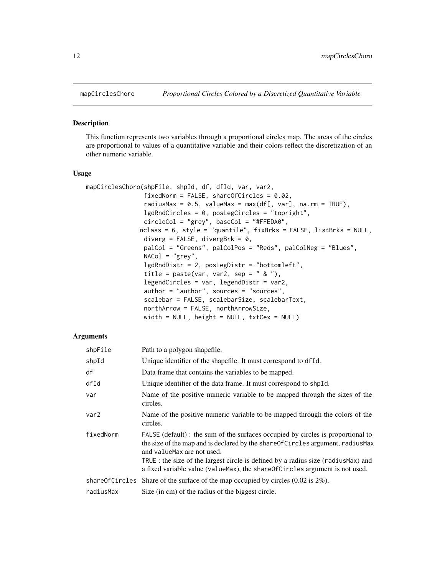<span id="page-11-1"></span><span id="page-11-0"></span>

#### Description

This function represents two variables through a proportional circles map. The areas of the circles are proportional to values of a quantitative variable and their colors reflect the discretization of an other numeric variable.

#### Usage

```
mapCirclesChoro(shpFile, shpId, df, dfId, var, var2,
                fixedNorm = FALSE, shareOfCircles = 0.02,
                radiusMax = 0.5, valueMax = max(df[, var], na.rm = TRUE),
                lgdRndCircles = 0, posLegCircles = "topright",
                circleCol = "grey", baseCol = "#FFEDA0",
               nclass = 6, style = "quantile", fixBrks = FALSE, listBrks = NULL,
                diverg = FALSE, divergBrk = 0,
                palCol = "Greens", palColPos = "Reds", palColNeg = "Blues",
                NACol = "grey",
                lgdRndDistr = 2, posLegDistr = "bottomleft",
                title = paste(var, var2, sep = " \& "),
                legendCircles = var, legendDistr = var2,
                author = "author", sources = "sources",
                scalebar = FALSE, scalebarSize, scalebarText,
                northArrow = FALSE, northArrowSize,
                width = NULL, height = NULL, txtCex = NULL)
```

| shpFile   | Path to a polygon shapefile.                                                                                                                                                                                                                                                                                                                                            |
|-----------|-------------------------------------------------------------------------------------------------------------------------------------------------------------------------------------------------------------------------------------------------------------------------------------------------------------------------------------------------------------------------|
| shpId     | Unique identifier of the shapefile. It must correspond to df Id.                                                                                                                                                                                                                                                                                                        |
| df        | Data frame that contains the variables to be mapped.                                                                                                                                                                                                                                                                                                                    |
| dfId      | Unique identifier of the data frame. It must correspond to shpId.                                                                                                                                                                                                                                                                                                       |
| var       | Name of the positive numeric variable to be mapped through the sizes of the<br>circles.                                                                                                                                                                                                                                                                                 |
| var2      | Name of the positive numeric variable to be mapped through the colors of the<br>circles.                                                                                                                                                                                                                                                                                |
| fixedNorm | FALSE (default) : the sum of the surfaces occupied by circles is proportional to<br>the size of the map and is declared by the share Of Circles argument, radius Max<br>and value Max are not used.<br>TRUE: the size of the largest circle is defined by a radius size (radius Max) and<br>a fixed variable value (valueMax), the shareOfCircles argument is not used. |
|           | share Of Circles Share of the surface of the map occupied by circles $(0.02 \text{ is } 2\%)$ .                                                                                                                                                                                                                                                                         |
| radiusMax | Size (in cm) of the radius of the biggest circle.                                                                                                                                                                                                                                                                                                                       |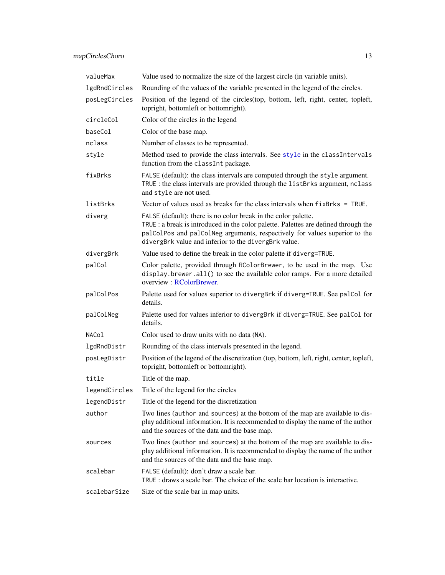<span id="page-12-0"></span>

| valueMax      | Value used to normalize the size of the largest circle (in variable units).                                                                                                                                                                                                                 |
|---------------|---------------------------------------------------------------------------------------------------------------------------------------------------------------------------------------------------------------------------------------------------------------------------------------------|
| lgdRndCircles | Rounding of the values of the variable presented in the legend of the circles.                                                                                                                                                                                                              |
| posLegCircles | Position of the legend of the circles(top, bottom, left, right, center, topleft,<br>topright, bottomleft or bottomright).                                                                                                                                                                   |
| circleCol     | Color of the circles in the legend                                                                                                                                                                                                                                                          |
| baseCol       | Color of the base map.                                                                                                                                                                                                                                                                      |
| nclass        | Number of classes to be represented.                                                                                                                                                                                                                                                        |
| style         | Method used to provide the class intervals. See style in the classIntervals<br>function from the classInt package.                                                                                                                                                                          |
| fixBrks       | FALSE (default): the class intervals are computed through the style argument.<br>TRUE : the class intervals are provided through the listBrks argument, nclass<br>and style are not used.                                                                                                   |
| listBrks      | Vector of values used as breaks for the class intervals when fixBrks = TRUE.                                                                                                                                                                                                                |
| diverg        | FALSE (default): there is no color break in the color palette.<br>TRUE : a break is introduced in the color palette. Palettes are defined through the<br>palColPos and palColNeg arguments, respectively for values superior to the<br>divergBrk value and inferior to the divergBrk value. |
| divergBrk     | Value used to define the break in the color palette if diverg=TRUE.                                                                                                                                                                                                                         |
| palCol        | Color palette, provided through RColorBrewer, to be used in the map. Use<br>display.brewer.all() to see the available color ramps. For a more detailed<br>overview : RColorBrewer.                                                                                                          |
| palColPos     | Palette used for values superior to divergBrk if diverg=TRUE. See palCol for<br>details.                                                                                                                                                                                                    |
| palColNeg     | Palette used for values inferior to divergBrk if diverg=TRUE. See palCol for<br>details.                                                                                                                                                                                                    |
| NACol         | Color used to draw units with no data (NA).                                                                                                                                                                                                                                                 |
| lgdRndDistr   | Rounding of the class intervals presented in the legend.                                                                                                                                                                                                                                    |
| posLegDistr   | Position of the legend of the discretization (top, bottom, left, right, center, topleft,<br>topright, bottomleft or bottomright).                                                                                                                                                           |
| title         | Title of the map.                                                                                                                                                                                                                                                                           |
| legendCircles | Title of the legend for the circles                                                                                                                                                                                                                                                         |
| legendDistr   | Title of the legend for the discretization                                                                                                                                                                                                                                                  |
| author        | Two lines (author and sources) at the bottom of the map are available to dis-<br>play additional information. It is recommended to display the name of the author<br>and the sources of the data and the base map.                                                                          |
| sources       | Two lines (author and sources) at the bottom of the map are available to dis-<br>play additional information. It is recommended to display the name of the author<br>and the sources of the data and the base map.                                                                          |
| scalebar      | FALSE (default): don't draw a scale bar.<br>TRUE: draws a scale bar. The choice of the scale bar location is interactive.                                                                                                                                                                   |
| scalebarSize  | Size of the scale bar in map units.                                                                                                                                                                                                                                                         |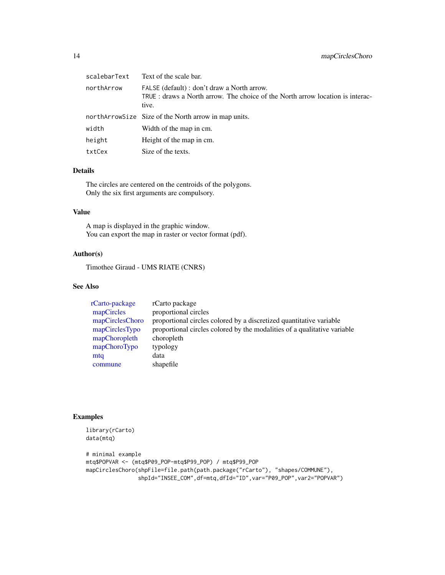<span id="page-13-0"></span>

| scalebarText | Text of the scale bar.                                                                                                                |
|--------------|---------------------------------------------------------------------------------------------------------------------------------------|
| northArrow   | FALSE (default) : don't draw a North arrow.<br>TRUE: draws a North arrow. The choice of the North arrow location is interac-<br>tive. |
|              | northArrowSize Size of the North arrow in map units.                                                                                  |
| width        | Width of the map in cm.                                                                                                               |
| height       | Height of the map in cm.                                                                                                              |
| txtCex       | Size of the texts.                                                                                                                    |

#### Details

The circles are centered on the centroids of the polygons. Only the six first arguments are compulsory.

# Value

A map is displayed in the graphic window. You can export the map in raster or vector format (pdf).

# Author(s)

Timothee Giraud - UMS RIATE (CNRS)

#### See Also

| rCarto-package  | rCarto package                                                           |
|-----------------|--------------------------------------------------------------------------|
| mapCircles      | proportional circles                                                     |
| mapCirclesChoro | proportional circles colored by a discretized quantitative variable      |
| mapCirclesTypo  | proportional circles colored by the modalities of a qualitative variable |
| mapChoropleth   | choropleth                                                               |
| mapChoroTypo    | typology                                                                 |
| mtq             | data                                                                     |
| commune         | shapefile                                                                |

### Examples

```
library(rCarto)
data(mtq)
# minimal example
mtq$POPVAR <- (mtq$P09_POP-mtq$P99_POP) / mtq$P99_POP
mapCirclesChoro(shpFile=file.path(path.package("rCarto"), "shapes/COMMUNE"),
                shpId="INSEE_COM",df=mtq,dfId="ID",var="P09_POP",var2="POPVAR")
```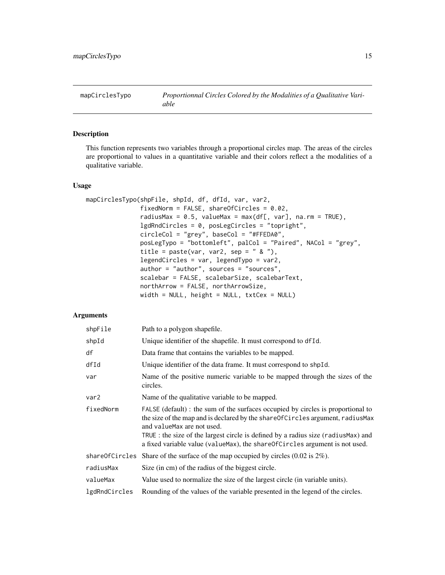<span id="page-14-1"></span><span id="page-14-0"></span>mapCirclesTypo *Proportionnal Circles Colored by the Modalities of a Qualitative Variable*

#### Description

This function represents two variables through a proportional circles map. The areas of the circles are proportional to values in a quantitative variable and their colors reflect a the modalities of a qualitative variable.

#### Usage

```
mapCirclesTypo(shpFile, shpId, df, dfId, var, var2,
               fixedNorm = FALSE, shareOfCircles = 0.02,
               radiusMax = 0.5, valueMax = max(df[, var], na.rm = TRUE),
               lgdRndCircles = 0, posLegCircles = "topright",
               circleCol = "grey", baseCol = "#FFEDA0",
               posLegTypo = "bottomleft", palCol = "Paired", NACol = "grey",
               title = past(var, var2, sep = " & "),
               legendCircles = var, legendTypo = var2,
               author = "author", sources = "sources",
               scalebar = FALSE, scalebarSize, scalebarText,
               northArrow = FALSE, northArrowSize,
              width = NULL, height = NULL, txtCex = NULL)
```

| shpFile        | Path to a polygon shapefile.                                                                                                                                                                                                                                                                                                                                         |
|----------------|----------------------------------------------------------------------------------------------------------------------------------------------------------------------------------------------------------------------------------------------------------------------------------------------------------------------------------------------------------------------|
| shpId          | Unique identifier of the shapefile. It must correspond to df Id.                                                                                                                                                                                                                                                                                                     |
| df             | Data frame that contains the variables to be mapped.                                                                                                                                                                                                                                                                                                                 |
| dfId           | Unique identifier of the data frame. It must correspond to shpId.                                                                                                                                                                                                                                                                                                    |
| var            | Name of the positive numeric variable to be mapped through the sizes of the<br>circles.                                                                                                                                                                                                                                                                              |
| var2           | Name of the qualitative variable to be mapped.                                                                                                                                                                                                                                                                                                                       |
| fixedNorm      | FALSE (default) : the sum of the surfaces occupied by circles is proportional to<br>the size of the map and is declared by the shareOfCircles argument, radiusMax<br>and value Max are not used.<br>TRUE: the size of the largest circle is defined by a radius size (radius Max) and<br>a fixed variable value (valueMax), the shareOfCircles argument is not used. |
| shareOfCircles | Share of the surface of the map occupied by circles $(0.02 \text{ is } 2\%)$ .                                                                                                                                                                                                                                                                                       |
| radiusMax      | Size (in cm) of the radius of the biggest circle.                                                                                                                                                                                                                                                                                                                    |
| valueMax       | Value used to normalize the size of the largest circle (in variable units).                                                                                                                                                                                                                                                                                          |
| lgdRndCircles  | Rounding of the values of the variable presented in the legend of the circles.                                                                                                                                                                                                                                                                                       |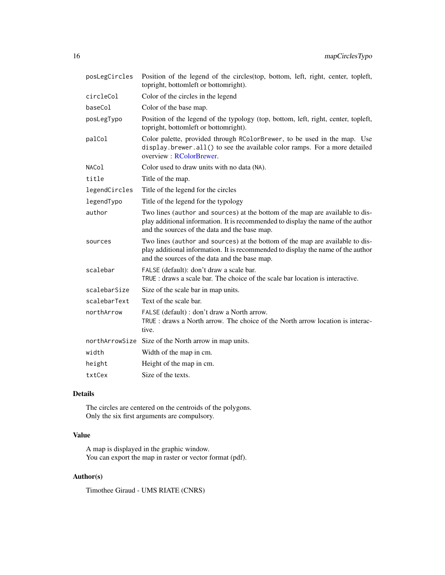<span id="page-15-0"></span>

| posLegCircles | Position of the legend of the circles(top, bottom, left, right, center, topleft,<br>topright, bottomleft or bottomright).                                                                                          |
|---------------|--------------------------------------------------------------------------------------------------------------------------------------------------------------------------------------------------------------------|
| circleCol     | Color of the circles in the legend                                                                                                                                                                                 |
| baseCol       | Color of the base map.                                                                                                                                                                                             |
| posLegTypo    | Position of the legend of the typology (top, bottom, left, right, center, topleft,<br>topright, bottomleft or bottomright).                                                                                        |
| palCol        | Color palette, provided through RColorBrewer, to be used in the map. Use<br>display.brewer.all() to see the available color ramps. For a more detailed<br>overview: RColorBrewer.                                  |
| NACol         | Color used to draw units with no data (NA).                                                                                                                                                                        |
| title         | Title of the map.                                                                                                                                                                                                  |
| legendCircles | Title of the legend for the circles                                                                                                                                                                                |
| legendTypo    | Title of the legend for the typology                                                                                                                                                                               |
| author        | Two lines (author and sources) at the bottom of the map are available to dis-<br>play additional information. It is recommended to display the name of the author<br>and the sources of the data and the base map. |
| sources       | Two lines (author and sources) at the bottom of the map are available to dis-<br>play additional information. It is recommended to display the name of the author<br>and the sources of the data and the base map. |
| scalebar      | FALSE (default): don't draw a scale bar.<br>TRUE: draws a scale bar. The choice of the scale bar location is interactive.                                                                                          |
| scalebarSize  | Size of the scale bar in map units.                                                                                                                                                                                |
| scalebarText  | Text of the scale bar.                                                                                                                                                                                             |
| northArrow    | FALSE (default) : don't draw a North arrow.<br>TRUE : draws a North arrow. The choice of the North arrow location is interac-<br>tive.                                                                             |
|               | northArrowSize Size of the North arrow in map units.                                                                                                                                                               |
| width         | Width of the map in cm.                                                                                                                                                                                            |
| height        | Height of the map in cm.                                                                                                                                                                                           |
| txtCex        | Size of the texts.                                                                                                                                                                                                 |

# Details

The circles are centered on the centroids of the polygons. Only the six first arguments are compulsory.

# Value

A map is displayed in the graphic window. You can export the map in raster or vector format (pdf).

# Author(s)

Timothee Giraud - UMS RIATE (CNRS)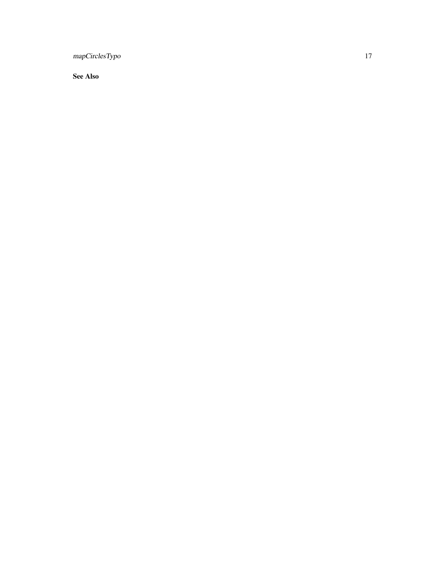mapCirclesTypo 17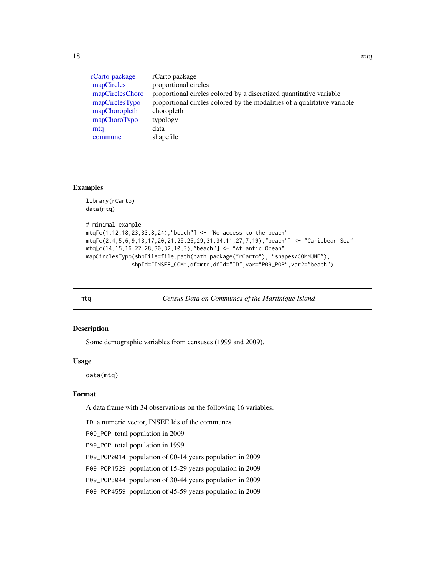<span id="page-17-0"></span>[rCarto-package](#page-1-1) rCarto package [mapCircles](#page-8-1) proportional circles [mapCirclesChoro](#page-11-1) proportional circles colored by a discretized quantitative variable [mapCirclesTypo](#page-14-1) proportional circles colored by the modalities of a qualitative variable [mapChoropleth](#page-3-1) choropleth<br>mapChoroTypo typology [mapChoroTypo](#page-6-1) [mtq](#page-17-1) data [commune](#page-2-1) shapefile

#### Examples

library(rCarto)

```
data(mtq)
# minimal example
mtr[ c(1, 12, 18, 23, 33, 8, 24), "beach" ] < - "No access to the beach"
mtq[c(2,4,5,6,9,13,17,20,21,25,26,29,31,34,11,27,7,19),"beach"] <- "Caribbean Sea"
mtq[c(14,15,16,22,28,30,32,10,3),"beach"] <- "Atlantic Ocean"
mapCirclesTypo(shpFile=file.path(path.package("rCarto"), "shapes/COMMUNE"),
              shpId="INSEE_COM",df=mtq,dfId="ID",var="P09_POP",var2="beach")
```
<span id="page-17-1"></span>

mtq *Census Data on Communes of the Martinique Island*

#### Description

Some demographic variables from censuses (1999 and 2009).

#### Usage

data(mtq)

#### Format

A data frame with 34 observations on the following 16 variables.

ID a numeric vector, INSEE Ids of the communes

P09\_POP total population in 2009

P99\_POP total population in 1999

P09\_POP0014 population of 00-14 years population in 2009

P09\_POP1529 population of 15-29 years population in 2009

P09\_POP3044 population of 30-44 years population in 2009

P09\_POP4559 population of 45-59 years population in 2009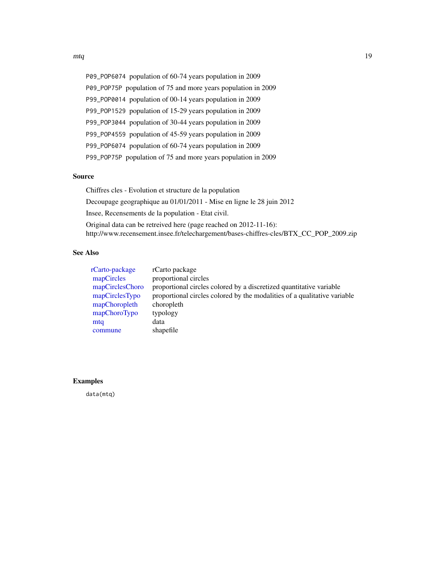<span id="page-18-0"></span>P09\_POP6074 population of 60-74 years population in 2009 P09\_POP75P population of 75 and more years population in 2009 P99\_POP0014 population of 00-14 years population in 2009 P99\_POP1529 population of 15-29 years population in 2009 P99\_POP3044 population of 30-44 years population in 2009 P99\_POP4559 population of 45-59 years population in 2009 P99\_POP6074 population of 60-74 years population in 2009 P99\_POP75P population of 75 and more years population in 2009

## Source

Chiffres cles - Evolution et structure de la population Decoupage geographique au 01/01/2011 - Mise en ligne le 28 juin 2012 Insee, Recensements de la population - Etat civil. Original data can be retreived here (page reached on 2012-11-16): http://www.recensement.insee.fr/telechargement/bases-chiffres-cles/BTX\_CC\_POP\_2009.zip

## See Also

| rCarto-package  | rCarto package                                                           |
|-----------------|--------------------------------------------------------------------------|
| mapCircles      | proportional circles                                                     |
| mapCirclesChoro | proportional circles colored by a discretized quantitative variable      |
| mapCirclesTypo  | proportional circles colored by the modalities of a qualitative variable |
| mapChoropleth   | choropleth                                                               |
| mapChoroTypo    | typology                                                                 |
| mtq             | data                                                                     |
| commune         | shapefile                                                                |

#### Examples

data(mtq)